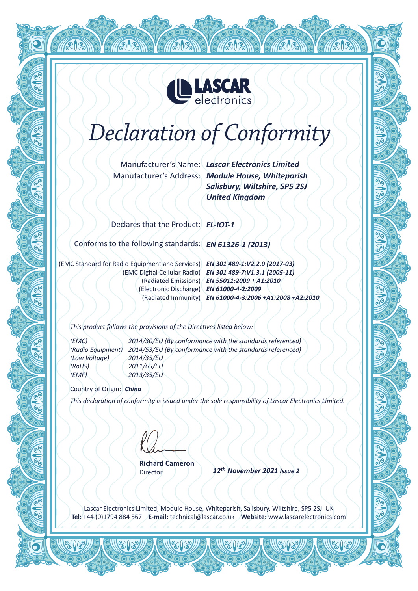

# *Declaration of Conformity*

Manufacturer's Name: *Lascar Electronics Limited*

Manufacturer's Address: *Module House, Whiteparish Salisbury, Wiltshire, SP5 2SJ United Kingdom*

**1813** 

Declares that the Product: *EL-IOT-1*

Conforms to the following standards: *EN 61326-1 (2013)*

*EN 301 489-1:V2.2.0 (2017-03)* (EMC Standard for Radio Equipment and Services) *EN 61000-4-2:2009* (Electronic Discharge)

**TAME** 

*EN 301 489-7:V1.3.1 (2005-11)* (EMC Digital Cellular Radio) *EN 55011:2009 + A1:2010* (Radiated Emissions) *EN 61000-4-3:2006 +A1:2008 +A2:2010* (Radiated Immunity)

*This product follows the provisions of the Directives listed below:*

*(Low Voltage) 2014/35/EU (RoHS) 2011/65/EU (EMF) 2013/35/EU*

*(EMC) 2014/30/EU (By conformance with the standards referenced) (Radio Equipment) 2014/53/EU (By conformance with the standards referenced)*

Country of Origin: *China*

*This declaration of conformity is issued under the sole responsibility of Lascar Electronics Limited.*

**Richard Cameron**

Director

*12th November 2021 Issue 2*

Lascar Electronics Limited, Module House, Whiteparish, Salisbury, Wiltshire, SP5 2SJ UK **Tel:** +44 (0)1794 884 567 **E-mail:** technical@lascar.co.uk **Website:** www.lascarelectronics.com